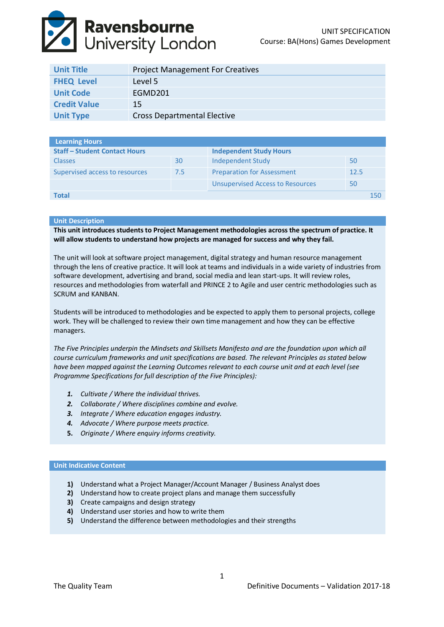# **Ravensbourne**<br>University London

| <b>Unit Title</b>   | <b>Project Management For Creatives</b> |
|---------------------|-----------------------------------------|
| <b>FHEQ Level</b>   | Level 5                                 |
| <b>Unit Code</b>    | FGMD201                                 |
| <b>Credit Value</b> | 15                                      |
| <b>Unit Type</b>    | <b>Cross Departmental Elective</b>      |

| Learning Hours                       |     |                                         |      |     |
|--------------------------------------|-----|-----------------------------------------|------|-----|
| <b>Staff - Student Contact Hours</b> |     | <b>Independent Study Hours</b>          |      |     |
| <b>Classes</b>                       | 30  | Independent Study                       | 50   |     |
| Supervised access to resources       | 7.5 | <b>Preparation for Assessment</b>       | 12.5 |     |
|                                      |     | <b>Unsupervised Access to Resources</b> | 50   |     |
| <b>Total</b>                         |     |                                         |      | 150 |

#### **Unit Description**

**This unit introduces students to Project Management methodologies across the spectrum of practice. It will allow students to understand how projects are managed for success and why they fail.**

The unit will look at software project management, digital strategy and human resource management through the lens of creative practice. It will look at teams and individuals in a wide variety of industries from software development, advertising and brand, social media and lean start-ups. It will review roles, resources and methodologies from waterfall and PRINCE 2 to Agile and user centric methodologies such as SCRUM and KANBAN.

Students will be introduced to methodologies and be expected to apply them to personal projects, college work. They will be challenged to review their own time management and how they can be effective managers.

*The Five Principles underpin the Mindsets and Skillsets Manifesto and are the foundation upon which all course curriculum frameworks and unit specifications are based. The relevant Principles as stated below have been mapped against the Learning Outcomes relevant to each course unit and at each level (see Programme Specifications for full description of the Five Principles):*

- *1. Cultivate / Where the individual thrives.*
- *2. Collaborate / Where disciplines combine and evolve.*
- *3. Integrate / Where education engages industry.*
- *4. Advocate / Where purpose meets practice.*
- **5.** *Originate / Where enquiry informs creativity.*

## **Unit Indicative Content**

- **1)** Understand what a Project Manager/Account Manager / Business Analyst does
- **2)** Understand how to create project plans and manage them successfully
- **3)** Create campaigns and design strategy
- **4)** Understand user stories and how to write them
- **5)** Understand the difference between methodologies and their strengths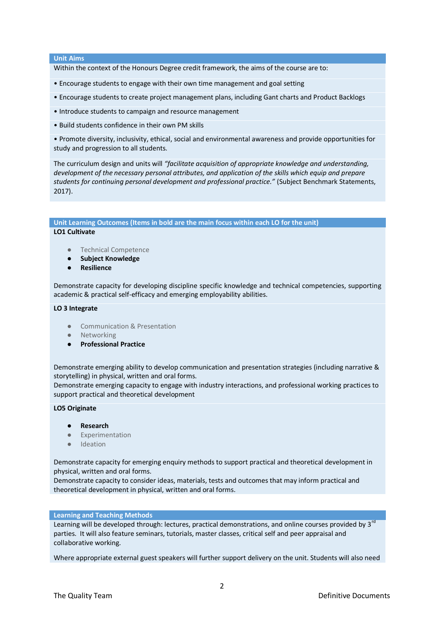## **Unit Aims**

Within the context of the Honours Degree credit framework, the aims of the course are to:

- Encourage students to engage with their own time management and goal setting
- Encourage students to create project management plans, including Gant charts and Product Backlogs
- Introduce students to campaign and resource management
- Build students confidence in their own PM skills

• Promote diversity, inclusivity, ethical, social and environmental awareness and provide opportunities for study and progression to all students.

The curriculum design and units will *"facilitate acquisition of appropriate knowledge and understanding, development of the necessary personal attributes, and application of the skills which equip and prepare students for continuing personal development and professional practice."* (Subject Benchmark Statements, 2017).

**Unit Learning Outcomes (Items in bold are the main focus within each LO for the unit)**

# **LO1 Cultivate**

- Technical Competence
- **Subject Knowledge**
- **Resilience**

Demonstrate capacity for developing discipline specific knowledge and technical competencies, supporting academic & practical self-efficacy and emerging employability abilities.

#### **LO 3 Integrate**

- Communication & Presentation
- Networking
- **Professional Practice**

Demonstrate emerging ability to develop communication and presentation strategies (including narrative & storytelling) in physical, written and oral forms.

Demonstrate emerging capacity to engage with industry interactions, and professional working practices to support practical and theoretical development

#### **LO5 Originate**

- **Research**
- Experimentation
- Ideation

Demonstrate capacity for emerging enquiry methods to support practical and theoretical development in physical, written and oral forms.

Demonstrate capacity to consider ideas, materials, tests and outcomes that may inform practical and theoretical development in physical, written and oral forms.

#### **Learning and Teaching Methods**

Learning will be developed through: lectures, practical demonstrations, and online courses provided by 3<sup>rd</sup> parties. It will also feature seminars, tutorials, master classes, critical self and peer appraisal and collaborative working.

Where appropriate external guest speakers will further support delivery on the unit. Students will also need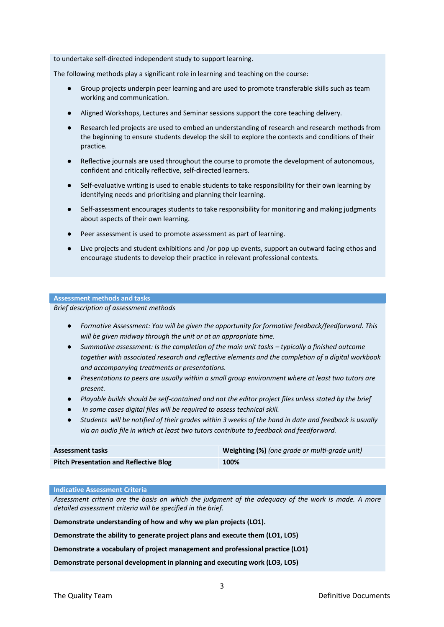to undertake self‐directed independent study to support learning.

The following methods play a significant role in learning and teaching on the course:

- Group projects underpin peer learning and are used to promote transferable skills such as team working and communication.
- Aligned Workshops, Lectures and Seminar sessions support the core teaching delivery.
- Research led projects are used to embed an understanding of research and research methods from the beginning to ensure students develop the skill to explore the contexts and conditions of their practice.
- Reflective journals are used throughout the course to promote the development of autonomous, confident and critically reflective, self‐directed learners.
- Self-evaluative writing is used to enable students to take responsibility for their own learning by identifying needs and prioritising and planning their learning.
- Self-assessment encourages students to take responsibility for monitoring and making judgments about aspects of their own learning.
- Peer assessment is used to promote assessment as part of learning.
- Live projects and student exhibitions and /or pop up events, support an outward facing ethos and encourage students to develop their practice in relevant professional contexts.

#### **Assessment methods and tasks**

*Brief description of assessment methods*

- *Formative Assessment: You will be given the opportunity for formative feedback/feedforward. This will be given midway through the unit or at an appropriate time.*
- *Summative assessment: Is the completion of the main unit tasks typically a finished outcome together with associated research and reflective elements and the completion of a digital workbook and accompanying treatments or presentations.*
- *Presentations to peers are usually within a small group environment where at least two tutors are present.*
- *Playable builds should be self-contained and not the editor project files unless stated by the brief*
- In some cases digital files will be required to assess technical skill.
- *Students will be notified of their grades within 3 weeks of the hand in date and feedback is usually via an audio file in which at least two tutors contribute to feedback and feedforward.*

| <b>Assessment tasks</b>                       | <b>Weighting (%)</b> (one grade or multi-grade unit) |
|-----------------------------------------------|------------------------------------------------------|
| <b>Pitch Presentation and Reflective Blog</b> | 100%                                                 |

#### **Indicative Assessment Criteria**

*Assessment criteria are the basis on which the judgment of the adequacy of the work is made. A more detailed assessment criteria will be specified in the brief.* 

**Demonstrate understanding of how and why we plan projects (LO1).**

**Demonstrate the ability to generate project plans and execute them (LO1, LO5)**

**Demonstrate a vocabulary of project management and professional practice (LO1)**

**Demonstrate personal development in planning and executing work (LO3, LO5)**